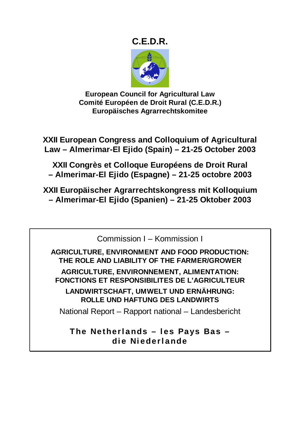# **C.E.D.R.**



**European Council for Agricultural Law Comité Européen de Droit Rural (C.E.D.R.) Europäisches Agrarrechtskomitee** 

**XXII European Congress and Colloquium of Agricultural Law – Almerimar-El Ejido (Spain) – 21-25 October 2003** 

**XXII Congrès et Colloque Européens de Droit Rural – Almerimar-El Ejido (Espagne) – 21-25 octobre 2003** 

**XXII Europäischer Agrarrechtskongress mit Kolloquium – Almerimar-El Ejido (Spanien) – 21-25 Oktober 2003** 

Commission I – Kommission I

**AGRICULTURE, ENVIRONMENT AND FOOD PRODUCTION: THE ROLE AND LIABILITY OF THE FARMER/GROWER AGRICULTURE, ENVIRONNEMENT, ALIMENTATION: FONCTIONS ET RESPONSIBILITES DE L'AGRICULTEUR** 

**LANDWIRTSCHAFT, UMWELT UND ERNÄHRUNG: ROLLE UND HAFTUNG DES LANDWIRTS** 

National Report – Rapport national – Landesbericht

**The Netherlands – les Pays Bas – die Niederlande**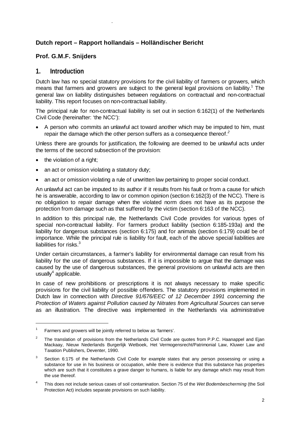#### **Dutch report – Rapport hollandais – Holländischer Bericht**

#### **Prof. G.M.F. Snijders**

.

#### **1. Introduction**

Dutch law has no special statutory provisions for the civil liability of farmers or growers, which means that farmers and growers are subject to the general legal provisions on liability.<sup>1</sup> The general law on liability distinguishes between regulations on contractual and non-contractual liability. This report focuses on non-contractual liability.

The principal rule for non-contractual liability is set out in section 6:162(1) of the Netherlands Civil Code (hereinafter: 'the NCC'):

• A person who commits an unlawful act toward another which may be imputed to him, must repair the damage which the other person suffers as a consequence thereof.*<sup>2</sup>*

Unless there are grounds for justification, the following are deemed to be unlawful acts under the terms of the second subsection of the provision:

the violation of a right;

- an act or omission violating a statutory duty;
- an act or omission violating a rule of unwritten law pertaining to proper social conduct.

An unlawful act can be imputed to its author if it results from his fault or from a cause for which he is answerable, according to law or common opinion (section 6:162(3) of the NCC). There is no obligation to repair damage when the violated norm does not have as its purpose the protection from damage such as that suffered by the victim (section 6:163 of the NCC).

In addition to this principal rule, the Netherlands Civil Code provides for various types of special non-contractual liability. For farmers product liability (section 6:185-193a) and the liability for dangerous substances (section 6:175) and for animals (section 6:179) could be of importance. While the principal rule is liability for fault, each of the above special liabilities are liabilities for risks. $3$ 

Under certain circumstances, a farmer's liability for environmental damage can result from his liability for the use of dangerous substances. If it is impossible to argue that the damage was caused by the use of dangerous substances, the general provisions on unlawful acts are then usually $4$  applicable.

In case of new prohibitions or prescriptions it is not always necessary to make specific provisions for the civil liability of possible offenders. The statutory provisions implemented in Dutch law in connection with *Directive 91/676/EEC of 12 December 1991 concerning the Protection of Waters against Pollution caused by Nitrates from Agricultural Sources* can serve as an illustration. The directive was implemented in the Netherlands via administrative

<sup>1</sup> Farmers and growers will be jointly referred to below as 'farmers'.

<sup>2</sup> The translation of provisions from the Netherlands Civil Code are quotes from P.P.C. Haanappel and Ejan Mackaay, Nieuw Nederlands Burgerlijk Wetboek, Het Vermogensrecht/Patrimonial Law, Kluwer Law and Taxation Publishers, Deventer, 1990.

<sup>3</sup> Section 6:175 of the Netherlands Civil Code for example states that any person possessing or using a substance for use in his business or occupation, while there is evidence that this substance has properties which are such that it constitutes a grave danger to humans, is liable for any damage which may result from the use thereof.

<sup>4</sup> This does not include serious cases of soil contamination. Section 75 of the *Wet Bodembescherming* (the Soil Protection Act) includes separate provisions on such liability.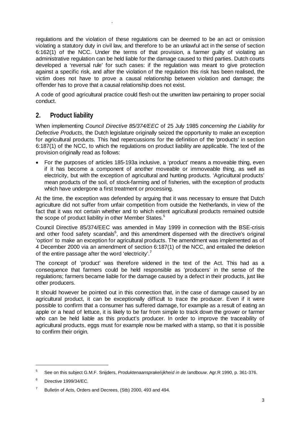regulations and the violation of these regulations can be deemed to be an act or omission violating a statutory duty in civil law, and therefore to be an unlawful act in the sense of section 6:162(1) of the NCC. Under the terms of that provision, a farmer guilty of violating an administrative regulation can be held liable for the damage caused to third parties. Dutch courts developed a 'reversal rule' for such cases: if the regulation was meant to give protection against a specific risk, and after the violation of the regulation this risk has been realised, the victim does not have to prove a causal relationship between violation and damage; the offender has to prove that a causal relationship does not exist.

A code of good agricultural practice could flesh out the unwritten law pertaining to proper social conduct.

# **2. Product liability**

.

When implementing *Council Directive 85/374/EEC* of 25 July 1985 *concerning the Liability for Defective Products*, the Dutch legislature originally seized the opportunity to make an exception for agricultural products. This had repercussions for the definition of the 'products' in section 6:187(1) of the NCC, to which the regulations on product liability are applicable. The text of the provision originally read as follows:

• For the purposes of articles 185-193a inclusive, a 'product' means a moveable thing, even if it has become a component of another moveable or immoveable thing, as well as electricity, but with the exception of agricultural and hunting products. 'Agricultural products' mean products of the soil, of stock-farming and of fisheries, with the exception of products which have undergone a first treatment or processing.

At the time, the exception was defended by arguing that it was necessary to ensure that Dutch agriculture did not suffer from unfair competition from outside the Netherlands, in view of the fact that it was not certain whether and to which extent agricultural products remained outside the scope of product liability in other Member States.<sup>5</sup>

Council Directive 85/374/EEC was amended in May 1999 in connection with the BSE-crisis and other food safety scandals $6$ , and this amendment dispensed with the directive's original 'option' to make an exception for agricultural products. The amendment was implemented as of 4 December 2000 via an amendment of section 6:187(1) of the NCC, and entailed the deletion of the entire passage after the word 'electricity'.<sup>7</sup>

The concept of 'product' was therefore widened in the text of the Act. This had as a consequence that farmers could be held responsible as 'producers' in the sense of the regulations; farmers became liable for the damage caused by a defect in their products, just like other producers.

It should however be pointed out in this connection that, in the case of damage caused by an agricultural product, it can be exceptionally difficult to trace the producer. Even if it were possible to confirm that a consumer has suffered damage, for example as a result of eating an apple or a head of lettuce, it is likely to be far from simple to track down the grower or farmer who can be held liable as this product's producer. In order to improve the traceability of agricultural products, eggs must for example now be marked with a stamp, so that it is possible to confirm their origin.

 $\overline{a}$ 

<sup>5</sup> See on this subject G.M.F. Snijders, *Produktenaansprakelijkheid in de landbouw*. Agr.R 1990, p. 361-376.

<sup>6</sup> Directive 1999/34/EC.

<sup>7</sup> Bulletin of Acts, Orders and Decrees, (Stb) 2000, 493 and 494.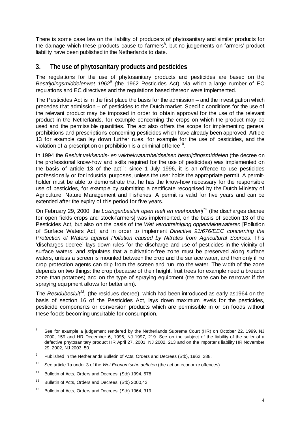There is some case law on the liability of producers of phytosanitary and similar products for the damage which these products cause to farmers<sup>8</sup>, but no judgements on farmers' product liability have been published in the Netherlands to date.

# **3. The use of phytosanitary products and pesticides**

.

The regulations for the use of phytosanitary products and pesticides are based on the Bestrijdingsmiddelenwet 1962<sup>9</sup> (the 1962 Pesticides Act), via which a large number of EC regulations and EC directives and the regulations based thereon were implemented.

The Pesticides Act is in the first place the basis for the admission – and the investigation which precedes that admission – of pesticides to the Dutch market. Specific conditions for the use of the relevant product may be imposed in order to obtain approval for the use of the relevant product in the Netherlands, for example concerning the crops on which the product may be used and the permissible quantities. The act also offers the scope for implementing general prohibitions and prescriptions concerning pesticides which have already been approved. Article 13 for example can lay down further rules, for example for the use of pesticides, and the violation of a prescription or prohibition is a criminal offence<sup>10</sup>.

In 1994 the *Besluit vakkennis- en vakbekwaamheidseisen bestrijdingsmiddelen* (the decree on the professional know-how and skills required for the use of pesticides) was implemented on the basis of article 13 of the  $act^{11}$ ; since 1 July 1996, it is an offence to use pesticides professionally or for industrial purposes, unless the user holds the appropriate permit. A permitholder must be able to demonstrate that he has the know-how necessary for the responsible use of pesticides, for example by submitting a certificate recognised by the Dutch Ministry of Agriculture, Nature Management and Fisheries. A permit is valid for five years and can be extended after the expiry of this period for five years.

On February 29, 2000, the *Lozingenbesluit open teelt en veehouderij<sup>12</sup>* (the discharges decree for open fields crops and stock-farmers] was implemented, on the basis of section 13 of the Pesticides Act, but also on the basis of the *Wet verontreiniging oppervlaktewateren* [Pollution of Surface Waters Act] and in order to implement *Directive 91/676/EEC concerning the Protection of Waters against Pollution caused by Nitrates from Agricultural Sources*. This 'discharges decree' lays down rules for the discharge and use of pesticides in the vicinity of surface waters, and stipulates that a cultivation-free zone must be preserved along surface waters, unless a screen is mounted between the crop and the surface water, and then only if no crop protection agents can drip from the screen and run into the water. The width of the zone depends on two things: the crop (because of their height, fruit trees for example need a broader zone than potatoes) and on the type of spraying equipment (the zone can be narrower if the spraying equipment allows for better aim).

The *Residubesluit<sup>13</sup>*, (the residues decree), which had been introduced as early as1964 on the basis of section 16 of the Pesticides Act, lays down maximum levels for the pesticides, pesticide components or conversion products which are permissible in or on foods without these foods becoming unsuitable for consumption.

<sup>8</sup> See for example a judgement rendered by the Netherlands Supreme Court (HR) on October 22, 1999, NJ 2000, 159 and HR December 6, 1996, NJ 1997, 219. See on the subject of the liability of the seller of a defective phytosanitary product HR April 27, 2001, NJ 2002, 213 and on the importer's liability HR November 29, 2002, NJ 2003, 50.

<sup>9</sup> Published in the Netherlands Bulletin of Acts, Orders and Decrees (Stb), 1962, 288.

<sup>10</sup> See article 1a under 3 of the *Wet Economische delicten* (the act on economic offences)

<sup>&</sup>lt;sup>11</sup> Bulletin of Acts, Orders and Decrees, (Stb) 1994, 578

<sup>&</sup>lt;sup>12</sup> Bulletin of Acts, Orders and Decrees, (Stb) 2000,43

<sup>&</sup>lt;sup>13</sup> Bulletin of Acts, Orders and Decrees, (Stb) 1964, 319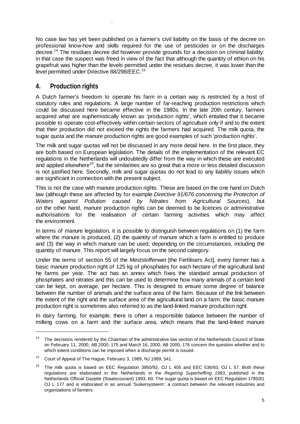No case law has yet been published on a farmer's civil liability on the basis of the decree on professional know-how and skills required for the use of pesticides or on the discharges decree.<sup>14</sup> The residues decree did however provide grounds for a decision on criminal liability: in that case the suspect was freed in view of the fact that although the quantity of ethion on his grapefruit was higher than the levels permitted under the residues decree, it was lower than the level permitted under Directive 88/298/EEC.<sup>15</sup>

# **4. Production rights**

.

A Dutch farmer's freedom to operate his farm in a certain way is restricted by a host of statutory rules and regulations. A large number of far-reaching production restrictions which could be discussed here became effective in the 1980s. In the late 20th century, farmers acquired what are euphemistically known as 'production rights', which entailed that it became possible to operate cost-effectively within certain sectors of agriculture only if and to the extent that their production did not exceed the rights the farmers had acquired. The milk quota, the sugar quota and the manure production rights are good examples of such 'production rights'.

The milk and sugar quotas will not be discussed in any more detail here. In the first place, they are both based on European legislation. The details of the implementation of the relevant EC regulations in the Netherlands will undoubtedly differ from the way in which these are executed and applied elsewhere<sup>16</sup>, but the similarities are so great that a more or less detailed discussion is not justified here. Secondly, milk and sugar quotas do not lead to any liability issues which are significant in connection with the present subject.

This is not the case with manure production rights. These are based on the one hand on Dutch law (although these are affected by for example *Directive 91/676 concerning the Protection of Waters against Pollution caused by Nitrates from Agricultural Sources*), but on the other hand, manure production rights can be deemed to be licences or administrative authorisations for the realisation of certain farming activities which may affect the environment.

In terms of manure legislation, it is possible to distinguish between regulations on (1) the farm where the manure is produced, (2) the quantity of manure which a farm is entitled to produce and (3) the way in which manure can be used, depending on the circumstances, including the quantity of manure. This report will largely focus on the second category.

Under the terms of section 55 of the *Meststoffenwet* [the Fertilisers Act], every farmer has a basic manure production right of 125 kg of phosphates for each hectare of the agricultural land he farms per year. The act has an annex which fixes the standard annual production of phosphates and nitrates and this can be used to determine how many animals of a certain kind can be kept, on average, per hectare. This is designed to ensure some degree of balance between the number of animals and the surface area of the farm. Because of the link between the extent of the right and the surface area of the agricultural land on a farm, the basic manure production right is sometimes also referred to as the land-linked manure production right.

In dairy farming, for example, there is often a responsible balance between the number of milking cows on a farm and the surface area, which means that the land-linked manure

 $\overline{a}$ 

The decisions rendered by the Chairman of the administrative law section of the Netherlands Council of State on February 11, 2000, AB 2000, 175 and March 16, 2000, AB 2000, 176 concern the question whether and to which extent conditions can be imposed when a discharge permit is issued.

<sup>15</sup> Court of Appeal of The Hague, February 3, 1989, NJ 1989, 541.

<sup>&</sup>lt;sup>16</sup> The milk quota is based on EEC Regulation 3950/92, OJ L 405 and EEC 536/93, OJ L 57, Both these regulations are elaborated in the Netherlands in the *Regeling Superheffing 1993,* published in the Netherlands Official Gazette (Staatscourant) 1993, 60. The sugar quota is based on EEC Regulation 1785/81 OJ L 177 and is elaborated in an annual 'Suikersysteem'; a contract between the relevant industries and organizations of farmers.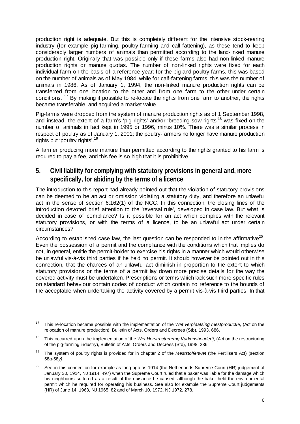production right is adequate. But this is completely different for the intensive stock-rearing industry (for example pig-farming, poultry-farming and calf-fattening), as these tend to keep considerably larger numbers of animals than permitted according to the land-linked manure production right. Originally that was possible only if these farms also had non-linked manure production rights or manure quotas. The number of non-linked rights were fixed for each individual farm on the basis of a reference year; for the pig and poultry farms, this was based on the number of animals as of May 1984, while for calf-fattening farms, this was the number of animals in 1986. As of January 1, 1994, the non-linked manure production rights can be transferred from one location to the other and from one farm to the other under certain conditions. <sup>17</sup> By making it possible to re-locate the rights from one farm to another, the rights became transferable, and acquired a market value.

.

 $\overline{a}$ 

Pig-farms were dropped from the system of manure production rights as of 1 September 1998, and instead, the extent of a farm's 'pig rights' and/or 'breeding sow rights<sup>'18</sup> was fixed on the number of animals in fact kept in 1995 or 1996, minus 10%. There was a similar process in respect of poultry as of January 1, 2001; the poultry-farmers no longer have manure production rights but 'poultry rights'.<sup>19</sup>

A farmer producing more manure than permitted according to the rights granted to his farm is required to pay a fee, and this fee is so high that it is prohibitive.

# **5. Civil liability for complying with statutory provisions in general and, more specifically, for abiding by the terms of a licence**

The introduction to this report had already pointed out that the violation of statutory provisions can be deemed to be an act or omission violating a statutory duty, and therefore an unlawful act in the sense of section 6:162(1) of the NCC. In this connection, the closing lines of the introduction devoted brief attention to the 'reversal rule', developed in case law. But what is decided in case of compliance? Is it possible for an act which complies with the relevant statutory provisions, or with the terms of a licence, to be an unlawful act under certain circumstances?

According to established case law, the last question can be responded to in the affirmative<sup>20</sup>. Even the possession of a permit and the compliance with the conditions which that implies do not, in general, entitle the permit-holder to exercise his rights in a manner which would otherwise be unlawful vis-à-vis third parties if he held no permit. It should however be pointed out in this connection, that the chances of an unlawful act diminish in proportion to the extent to which statutory provisions or the terms of a permit lay down more precise details for the way the covered activity must be undertaken. Prescriptions or terms which lack such more specific rules on standard behaviour contain codes of conduct which contain no reference to the bounds of the acceptable when undertaking the activity covered by a permit vis-à-vis third parties. In that

<sup>17</sup> This re-location became possible with the implementation of the *Wet verplaatsing mestproductie*, (Act on the relocation of manure production), Bulletin of Acts, Orders and Decrees (Stb), 1993, 686.

<sup>18</sup> This occurred upon the implementation of the *Wet Herstructurering Varkenshouderij*, (Act on the restructuring of the pig-farming industry), Bulletin of Acts, Orders and Decrees (Stb), 1998, 236.

<sup>19</sup> The system of poultry rights is provided for in chapter 2 of the *Meststoffenwet* (the Fertilisers Act) (section 58*a*-58*y)*.

<sup>&</sup>lt;sup>20</sup> See in this connection for example as long ago as 1914 (the Netherlands Supreme Court (HR) judgement of January 30, 1914, NJ 1914, 497) when the Supreme Court ruled that a baker was liable for the damage which his neighbours suffered as a result of the nuisance he caused, although the baker held the environmental permit which he required for operating his business. See also for example the Supreme Court judgements (HR) of June 14, 1963, NJ 1965, 82 and of March 10, 1972, NJ 1972, 278.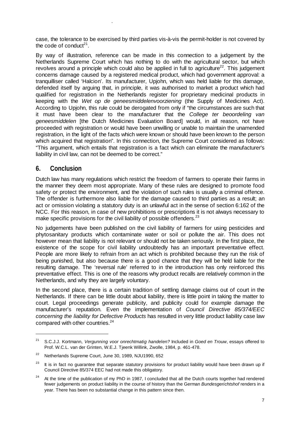case, the tolerance to be exercised by third parties vis-à-vis the permit-holder is not covered by the code of conduct<sup>21</sup>.

By way of illustration, reference can be made in this connection to a judgement by the Netherlands Supreme Court which has nothing to do with the agricultural sector, but which revolves around a principle which could also be applied in full to agriculture<sup>22</sup>. This judgement concerns damage caused by a registered medical product, which had government approval: a tranquilliser called 'Halcion'. Its manufacturer, Upjohn, which was held liable for this damage, defended itself by arguing that, in principle, it was authorised to market a product which had qualified for registration in the Netherlands register for proprietary medicinal products in keeping with the *Wet op de geneesmiddelenvoorziening* (the Supply of Medicines Act). According to Upjohn, this rule could be derogated from only if "the circumstances are such that it must have been clear to the manufacturer that the *College ter beoordeling van geneesmiddelen* [the Dutch Medicines Evaluation Board] would, in all reason, not have proceeded with registration or would have been unwilling or unable to maintain the unamended registration, in the light of the facts which were known or should have been known to the person which acquired that registration". In this connection, the Supreme Court considered as follows: "This argument, which entails that registration is a fact which can eliminate the manufacturer's liability in civil law, can not be deemed to be correct."

#### **6. Conclusion**

 $\overline{a}$ 

.

Dutch law has many regulations which restrict the freedom of farmers to operate their farms in the manner they deem most appropriate. Many of these rules are designed to promote food safety or protect the environment, and the violation of such rules is usually a criminal offence. The offender is furthermore also liable for the damage caused to third parties as a result; an act or omission violating a statutory duty is an unlawful act in the sense of section 6:162 of the NCC. For this reason, in case of new prohibitions or prescriptions it is not always necessary to make specific provisions for the civil liability of possible offenders.<sup>23</sup>

No judgements have been published on the civil liability of farmers for using pesticides and phytosanitary products which contaminate water or soil or pollute the air. This does not however mean that liability is not relevant or should not be taken seriously. In the first place, the existence of the scope for civil liability undoubtedly has an important preventative effect. People are more likely to refrain from an act which is prohibited because they run the risk of being punished, but also because there is a good chance that they will be held liable for the resulting damage. The 'reversal rule' referred to in the introduction has only reinforced this preventative effect. This is one of the reasons why product recalls are relatively common in the Netherlands, and why they are largely voluntary.

In the second place, there is a certain tradition of settling damage claims out of court in the Netherlands. If there can be little doubt about liability, there is little point in taking the matter to court. Legal proceedings generate publicity, and publicity could for example damage the manufacturer's reputation. Even the implementation of *Council Directive 85/374/EEC concerning the liability for Defective Products* has resulted in very little product liability case law compared with other countries.<sup>24</sup>

<sup>21</sup> S.C.J.J. Kortmann, *Vergunning voor onrechtmatig handelen?* Included in *Goed en Trouw*, essays offered to Prof. W.C.L. van der Grinten, W.E.J. Tjeenk Willink, Zwolle, 1984, p. 461-478.

<sup>&</sup>lt;sup>22</sup> Netherlands Supreme Court, June 30, 1989, NJU1990, 652

 $23$  It is in fact no guarantee that separate statutory provisions for product liability would have been drawn up if Council Directive 85/374 EEC had not made this obligatory.

<sup>&</sup>lt;sup>24</sup> At the time of the publication of my PhD in 1987, I concluded that all the Dutch courts together had rendered fewer judgements on product liability in the course of history than the German *Bundesgerichtshof* renders in a year. There has been no substantial change in this pattern since then.